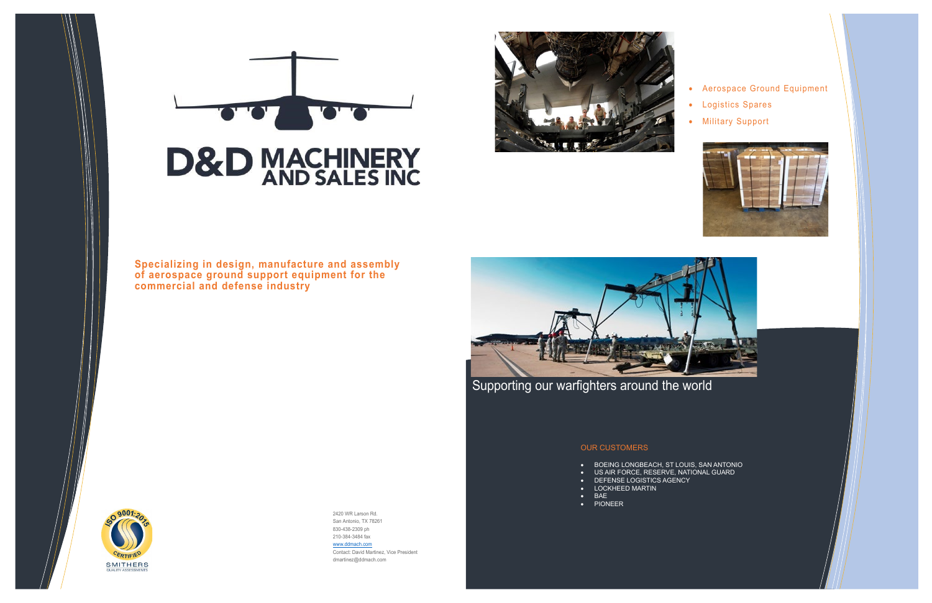



# **D&D MACHINERY**<br>AND SALES INC



# • Aerospace Ground Equipment

- Logistics Spares
- Military Support



2420 WR Larson Rd. San Antonio, TX 78261 830-438-2309 ph 210-384-3484 fax [www.ddmach.com](http://www.ddmach.com/) Contact: David Martinez, Vice President dmartinez@ddmach.com

**Specializing in design, manufacture and assembly of aerospace ground support equipment for the commercial and defense industry** 



Supporting our warfighters around the world

#### OUR CUSTOMERS

- BOEING LONGBEACH, ST LOUIS, SAN ANTONIO
- US AIR FORCE, RESERVE, NATIONAL GUARD
- DEFENSE LOGISTICS AGENCY
- LOCKHEED MARTIN • BAE
- PIONEER